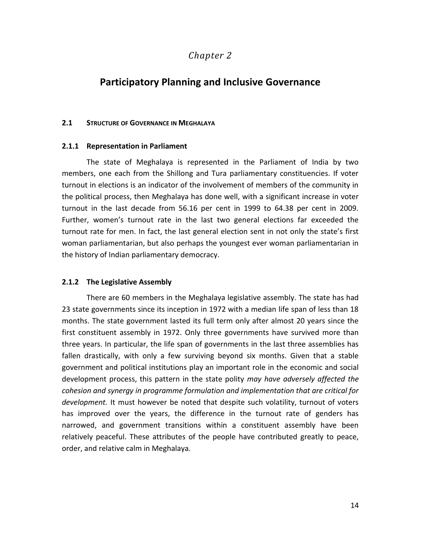# *Chapter 2*

# **Participatory Planning and Inclusive Governance**

# **2.1 STRUCTURE OF GOVERNANCE IN MEGHALAYA**

### **2.1.1 Representation in Parliament**

The state of Meghalaya is represented in the Parliament of India by two members, one each from the Shillong and Tura parliamentary constituencies. If voter turnout in elections is an indicator of the involvement of members of the community in the political process, then Meghalaya has done well, with a significant increase in voter turnout in the last decade from 56.16 per cent in 1999 to 64.38 per cent in 2009. Further, women's turnout rate in the last two general elections far exceeded the turnout rate for men. In fact, the last general election sent in not only the state's first woman parliamentarian, but also perhaps the youngest ever woman parliamentarian in the history of Indian parliamentary democracy.

# **2.1.2 The Legislative Assembly**

There are 60 members in the Meghalaya legislative assembly. The state has had 23 state governments since its inception in 1972 with a median life span of less than 18 months. The state government lasted its full term only after almost 20 years since the first constituent assembly in 1972. Only three governments have survived more than three years. In particular, the life span of governments in the last three assemblies has fallen drastically, with only a few surviving beyond six months. Given that a stable government and political institutions play an important role in the economic and social development process, this pattern in the state polity *may have adversely affected the cohesion and synergy in programme formulation and implementation that are critical for development.* It must however be noted that despite such volatility, turnout of voters has improved over the years, the difference in the turnout rate of genders has narrowed, and government transitions within a constituent assembly have been relatively peaceful. These attributes of the people have contributed greatly to peace, order, and relative calm in Meghalaya.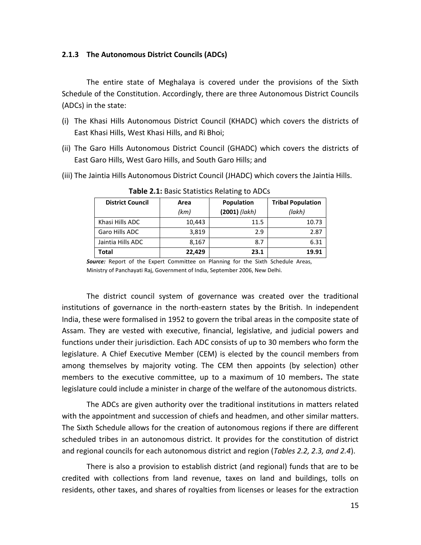# **2.1.3 The Autonomous District Councils (ADCs)**

The entire state of Meghalaya is covered under the provisions of the Sixth Schedule of the Constitution. Accordingly, there are three Autonomous District Councils (ADCs) in the state:

- (i) The Khasi Hills Autonomous District Council (KHADC) which covers the districts of East Khasi Hills, West Khasi Hills, and Ri Bhoi;
- (ii) The Garo Hills Autonomous District Council (GHADC) which covers the districts of East Garo Hills, West Garo Hills, and South Garo Hills; and
- (iii) The Jaintia Hills Autonomous District Council (JHADC) which covers the Jaintia Hills.

| <b>District Council</b> | Area   | Population      | <b>Tribal Population</b> |  |
|-------------------------|--------|-----------------|--------------------------|--|
|                         | (km)   | $(2001)$ (lakh) | (lakh)                   |  |
| Khasi Hills ADC         | 10,443 | 11.5            | 10.73                    |  |
| Garo Hills ADC          | 3.819  | 2.9             | 2.87                     |  |
| Jaintia Hills ADC       | 8.167  | 8.7             | 6.31                     |  |
| Total                   | 22,429 | 23.1            | 19.91                    |  |

**Table 2.1:** Basic Statistics Relating to ADCs

*Source:* Report of the Expert Committee on Planning for the Sixth Schedule Areas, Ministry of Panchayati Raj, Government of India, September 2006, New Delhi.

The district council system of governance was created over the traditional institutions of governance in the north-eastern states by the British. In independent India, these were formalised in 1952 to govern the tribal areas in the composite state of Assam. They are vested with executive, financial, legislative, and judicial powers and functions under their jurisdiction. Each ADC consists of up to 30 members who form the legislature. A Chief Executive Member (CEM) is elected by the council members from among themselves by majority voting. The CEM then appoints (by selection) other members to the executive committee, up to a maximum of 10 members**.** The state legislature could include a minister in charge of the welfare of the autonomous districts.

The ADCs are given authority over the traditional institutions in matters related with the appointment and succession of chiefs and headmen, and other similar matters. The Sixth Schedule allows for the creation of autonomous regions if there are different scheduled tribes in an autonomous district. It provides for the constitution of district and regional councils for each autonomous district and region (*Tables 2.2, 2.3, and 2.4*).

There is also a provision to establish district (and regional) funds that are to be credited with collections from land revenue, taxes on land and buildings, tolls on residents, other taxes, and shares of royalties from licenses or leases for the extraction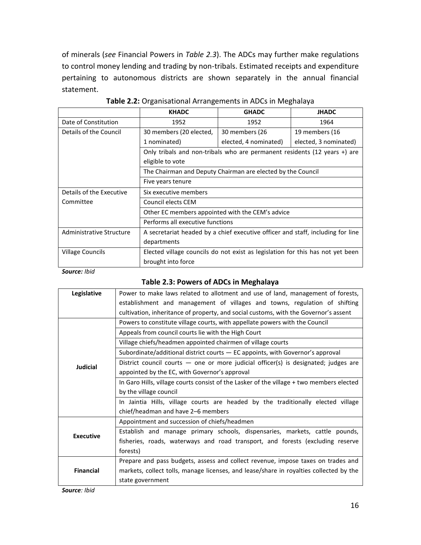of minerals (*see* Financial Powers in *Table 2.3*). The ADCs may further make regulations to control money lending and trading by non-tribals. Estimated receipts and expenditure pertaining to autonomous districts are shown separately in the annual financial statement.

|                          | <b>KHADC</b>                                                                    | <b>GHADC</b>          | <b>JHADC</b>          |  |  |
|--------------------------|---------------------------------------------------------------------------------|-----------------------|-----------------------|--|--|
| Date of Constitution     | 1952                                                                            | 1952                  | 1964                  |  |  |
| Details of the Council   | 30 members (20 elected,                                                         | 30 members (26        | 19 members (16        |  |  |
|                          | 1 nominated)                                                                    | elected, 4 nominated) | elected, 3 nominated) |  |  |
|                          | Only tribals and non-tribals who are permanent residents (12 years +) are       |                       |                       |  |  |
|                          | eligible to vote                                                                |                       |                       |  |  |
|                          | The Chairman and Deputy Chairman are elected by the Council                     |                       |                       |  |  |
|                          | Five years tenure                                                               |                       |                       |  |  |
| Details of the Executive | Six executive members                                                           |                       |                       |  |  |
| Committee                | Council elects CEM                                                              |                       |                       |  |  |
|                          | Other EC members appointed with the CEM's advice                                |                       |                       |  |  |
|                          | Performs all executive functions                                                |                       |                       |  |  |
| Administrative Structure | A secretariat headed by a chief executive officer and staff, including for line |                       |                       |  |  |
|                          | departments                                                                     |                       |                       |  |  |
| <b>Village Councils</b>  | Elected village councils do not exist as legislation for this has not yet been  |                       |                       |  |  |
|                          | brought into force                                                              |                       |                       |  |  |

|  |  |  | Table 2.2: Organisational Arrangements in ADCs in Meghalaya |
|--|--|--|-------------------------------------------------------------|
|--|--|--|-------------------------------------------------------------|

*Source: Ibid*

# **Table 2.3: Powers of ADCs in Meghalaya**

| Legislative      | Power to make laws related to allotment and use of land, management of forests,          |
|------------------|------------------------------------------------------------------------------------------|
|                  | establishment and management of villages and towns, regulation of shifting               |
|                  | cultivation, inheritance of property, and social customs, with the Governor's assent     |
|                  | Powers to constitute village courts, with appellate powers with the Council              |
|                  | Appeals from council courts lie with the High Court                                      |
|                  | Village chiefs/headmen appointed chairmen of village courts                              |
|                  | Subordinate/additional district courts $-$ EC appoints, with Governor's approval         |
| Judicial         | District council courts $-$ one or more judicial officer(s) is designated; judges are    |
|                  | appointed by the EC, with Governor's approval                                            |
|                  | In Garo Hills, village courts consist of the Lasker of the village + two members elected |
|                  | by the village council                                                                   |
|                  | In Jaintia Hills, village courts are headed by the traditionally elected village         |
|                  | chief/headman and have 2–6 members                                                       |
|                  | Appointment and succession of chiefs/headmen                                             |
| <b>Executive</b> | Establish and manage primary schools, dispensaries, markets, cattle pounds,              |
|                  | fisheries, roads, waterways and road transport, and forests (excluding reserve           |
|                  | forests)                                                                                 |
|                  | Prepare and pass budgets, assess and collect revenue, impose taxes on trades and         |
| <b>Financial</b> | markets, collect tolls, manage licenses, and lease/share in royalties collected by the   |
|                  | state government                                                                         |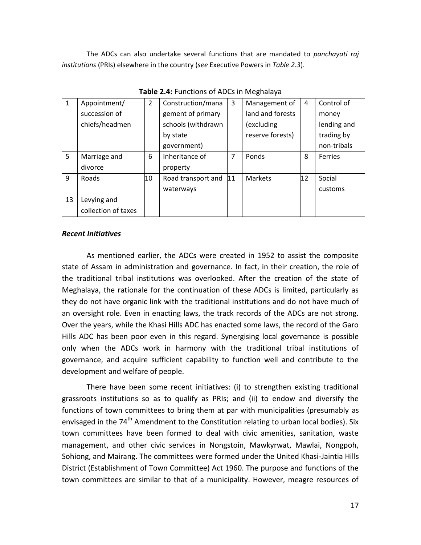The ADCs can also undertake several functions that are mandated to *panchayati raj institutions* (PRIs) elsewhere in the country (*see* Executive Powers in *Table 2.3*).

| Appointment/        | $\overline{2}$ | Construction/mana  | 3 | Management of    | 4  | Control of     |
|---------------------|----------------|--------------------|---|------------------|----|----------------|
| succession of       |                | gement of primary  |   | land and forests |    | money          |
| chiefs/headmen      |                | schools (withdrawn |   | (excluding       |    | lending and    |
|                     |                | by state           |   | reserve forests) |    | trading by     |
|                     |                | government)        |   |                  |    | non-tribals    |
| Marriage and        | 6              | Inheritance of     | 7 | Ponds            | 8  | <b>Ferries</b> |
| divorce             |                | property           |   |                  |    |                |
| Roads               | 10             | Road transport and |   | <b>Markets</b>   | 12 | Social         |
|                     |                | waterways          |   |                  |    | customs        |
| Levying and         |                |                    |   |                  |    |                |
| collection of taxes |                |                    |   |                  |    |                |
|                     |                |                    |   | 11               |    |                |

**Table 2.4:** Functions of ADCs in Meghalaya

# *Recent Initiatives*

As mentioned earlier, the ADCs were created in 1952 to assist the composite state of Assam in administration and governance. In fact, in their creation, the role of the traditional tribal institutions was overlooked. After the creation of the state of Meghalaya, the rationale for the continuation of these ADCs is limited, particularly as they do not have organic link with the traditional institutions and do not have much of an oversight role. Even in enacting laws, the track records of the ADCs are not strong. Over the years, while the Khasi Hills ADC has enacted some laws, the record of the Garo Hills ADC has been poor even in this regard. Synergising local governance is possible only when the ADCs work in harmony with the traditional tribal institutions of governance, and acquire sufficient capability to function well and contribute to the development and welfare of people.

There have been some recent initiatives: (i) to strengthen existing traditional grassroots institutions so as to qualify as PRIs; and (ii) to endow and diversify the functions of town committees to bring them at par with municipalities (presumably as envisaged in the 74<sup>th</sup> Amendment to the Constitution relating to urban local bodies). Six town committees have been formed to deal with civic amenities, sanitation, waste management, and other civic services in Nongstoin, Mawkyrwat, Mawlai, Nongpoh, Sohiong, and Mairang. The committees were formed under the United Khasi-Jaintia Hills District (Establishment of Town Committee) Act 1960. The purpose and functions of the town committees are similar to that of a municipality. However, meagre resources of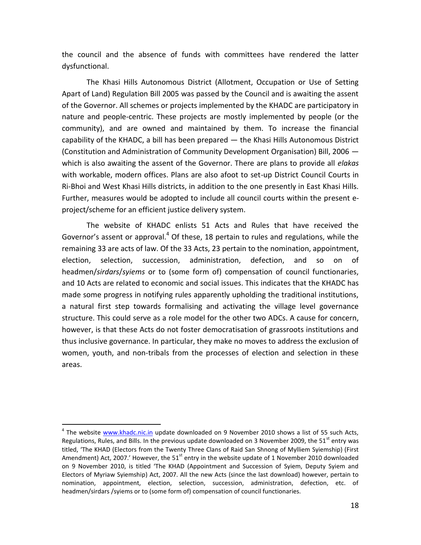the council and the absence of funds with committees have rendered the latter dysfunctional.

The Khasi Hills Autonomous District (Allotment, Occupation or Use of Setting Apart of Land) Regulation Bill 2005 was passed by the Council and is awaiting the assent of the Governor. All schemes or projects implemented by the KHADC are participatory in nature and people-centric. These projects are mostly implemented by people (or the community), and are owned and maintained by them. To increase the financial capability of the KHADC, a bill has been prepared — the Khasi Hills Autonomous District (Constitution and Administration of Community Development Organisation) Bill, 2006 which is also awaiting the assent of the Governor. There are plans to provide all *elakas* with workable, modern offices. Plans are also afoot to set-up District Council Courts in Ri-Bhoi and West Khasi Hills districts, in addition to the one presently in East Khasi Hills. Further, measures would be adopted to include all council courts within the present eproject/scheme for an efficient justice delivery system.

The website of KHADC enlists 51 Acts and Rules that have received the Governor's assent or approval.<sup>4</sup> Of these, 18 pertain to rules and regulations, while the remaining 33 are acts of law. Of the 33 Acts, 23 pertain to the nomination, appointment, election, selection, succession, administration, defection, and so on of headmen/*sirdars*/*syiems* or to (some form of) compensation of council functionaries, and 10 Acts are related to economic and social issues. This indicates that the KHADC has made some progress in notifying rules apparently upholding the traditional institutions, a natural first step towards formalising and activating the village level governance structure. This could serve as a role model for the other two ADCs. A cause for concern, however, is that these Acts do not foster democratisation of grassroots institutions and thus inclusive governance. In particular, they make no moves to address the exclusion of women, youth, and non-tribals from the processes of election and selection in these areas.

 $\overline{a}$ 

<sup>&</sup>lt;sup>4</sup> The website [www.khadc.nic.in](http://www.khadc.nic.in/) update downloaded on 9 November 2010 shows a list of 55 such Acts, Regulations, Rules, and Bills. In the previous update downloaded on 3 November 2009, the 51<sup>st</sup> entry was titled, 'The KHAD (Electors from the Twenty Three Clans of Raid San Shnong of Mylliem Syiemship) (First Amendment) Act, 2007.' However, the 51<sup>st</sup> entry in the website update of 1 November 2010 downloaded on 9 November 2010, is titled 'The KHAD (Appointment and Succession of Syiem, Deputy Syiem and Electors of Myriaw Syiemship) Act, 2007. All the new Acts (since the last download) however, pertain to nomination, appointment, election, selection, succession, administration, defection, etc. of headmen/sirdars /syiems or to (some form of) compensation of council functionaries.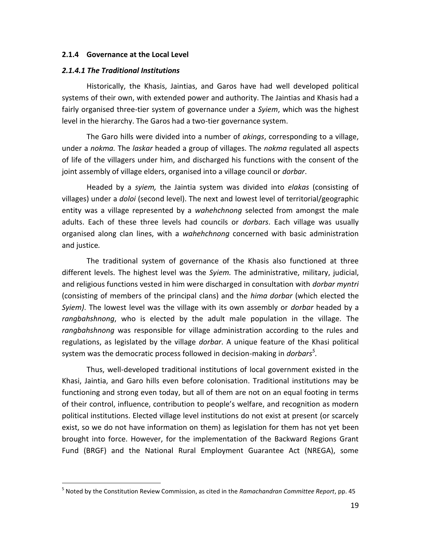# **2.1.4 Governance at the Local Level**

#### *2.1.4.1 The Traditional Institutions*

 $\overline{a}$ 

Historically, the Khasis, Jaintias, and Garos have had well developed political systems of their own, with extended power and authority. The Jaintias and Khasis had a fairly organised three-tier system of governance under a *Syiem*, which was the highest level in the hierarchy. The Garos had a two-tier governance system.

The Garo hills were divided into a number of *akings*, corresponding to a village, under a *nokma.* The *laskar* headed a group of villages. The *nokma* regulated all aspects of life of the villagers under him, and discharged his functions with the consent of the joint assembly of village elders, organised into a village council or *dorbar*.

Headed by a *syiem,* the Jaintia system was divided into *elakas* (consisting of villages) under a *doloi* (second level). The next and lowest level of territorial/geographic entity was a village represented by a *wahehchnong* selected from amongst the male adults. Each of these three levels had councils or *dorbars*. Each village was usually organised along clan lines, with a *wahehchnong* concerned with basic administration and justice*.*

The traditional system of governance of the Khasis also functioned at three different levels. The highest level was the *Syiem.* The administrative, military, judicial, and religious functions vested in him were discharged in consultation with *dorbar myntri* (consisting of members of the principal clans) and the *hima dorbar* (which elected the *Syiem)*. The lowest level was the village with its own assembly or *dorbar* headed by a *rangbahshnong*, who is elected by the adult male population in the village*.* The *rangbahshnong* was responsible for village administration according to the rules and regulations, as legislated by the village *dorbar*. A unique feature of the Khasi political system was the democratic process followed in decision-making in *dorbars<sup>5</sup> .*

Thus, well-developed traditional institutions of local government existed in the Khasi, Jaintia, and Garo hills even before colonisation. Traditional institutions may be functioning and strong even today, but all of them are not on an equal footing in terms of their control, influence, contribution to people's welfare, and recognition as modern political institutions. Elected village level institutions do not exist at present (or scarcely exist, so we do not have information on them) as legislation for them has not yet been brought into force. However, for the implementation of the Backward Regions Grant Fund (BRGF) and the National Rural Employment Guarantee Act (NREGA), some

<sup>5</sup> Noted by the Constitution Review Commission, as cited in the *Ramachandran Committee Report*, pp. 45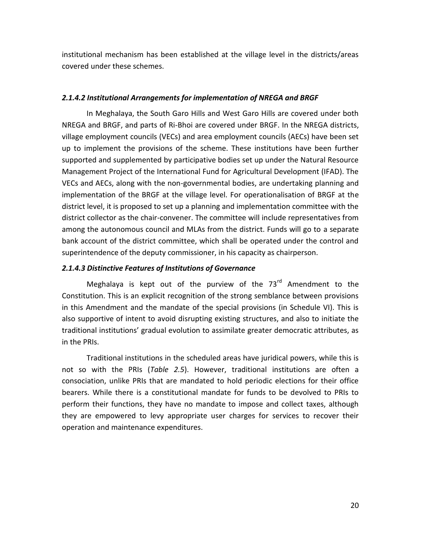institutional mechanism has been established at the village level in the districts/areas covered under these schemes.

# *2.1.4.2 Institutional Arrangements for implementation of NREGA and BRGF*

In Meghalaya, the South Garo Hills and West Garo Hills are covered under both NREGA and BRGF, and parts of Ri-Bhoi are covered under BRGF. In the NREGA districts, village employment councils (VECs) and area employment councils (AECs) have been set up to implement the provisions of the scheme. These institutions have been further supported and supplemented by participative bodies set up under the Natural Resource Management Project of the International Fund for Agricultural Development (IFAD). The VECs and AECs, along with the non-governmental bodies, are undertaking planning and implementation of the BRGF at the village level. For operationalisation of BRGF at the district level, it is proposed to set up a planning and implementation committee with the district collector as the chair-convener. The committee will include representatives from among the autonomous council and MLAs from the district. Funds will go to a separate bank account of the district committee, which shall be operated under the control and superintendence of the deputy commissioner, in his capacity as chairperson.

# *2.1.4.3 Distinctive Features of Institutions of Governance*

Meghalaya is kept out of the purview of the  $73<sup>rd</sup>$  Amendment to the Constitution. This is an explicit recognition of the strong semblance between provisions in this Amendment and the mandate of the special provisions (in Schedule VI). This is also supportive of intent to avoid disrupting existing structures, and also to initiate the traditional institutions' gradual evolution to assimilate greater democratic attributes, as in the PRIs.

Traditional institutions in the scheduled areas have juridical powers, while this is not so with the PRIs (*Table 2.5*). However, traditional institutions are often a consociation, unlike PRIs that are mandated to hold periodic elections for their office bearers. While there is a constitutional mandate for funds to be devolved to PRIs to perform their functions, they have no mandate to impose and collect taxes, although they are empowered to levy appropriate user charges for services to recover their operation and maintenance expenditures.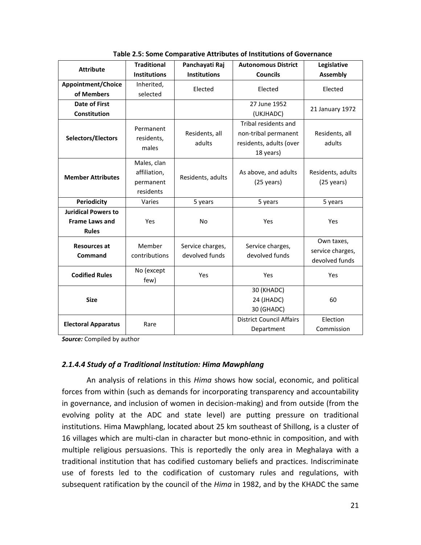| <b>Attribute</b>           | <b>Traditional</b>  | Panchayati Raj      | <b>Autonomous District</b>      | Legislative          |  |
|----------------------------|---------------------|---------------------|---------------------------------|----------------------|--|
|                            | <b>Institutions</b> | <b>Institutions</b> | <b>Councils</b>                 | <b>Assembly</b>      |  |
| <b>Appointment/Choice</b>  | Inherited,          | Elected             |                                 |                      |  |
| of Members                 | selected            |                     | Elected                         | Elected              |  |
| <b>Date of First</b>       |                     |                     | 27 June 1952                    |                      |  |
| <b>Constitution</b>        |                     |                     | (UKJHADC)                       | 21 January 1972      |  |
|                            | Permanent           |                     | Tribal residents and            |                      |  |
| Selectors/Electors         | residents,          | Residents, all      | non-tribal permanent            | Residents, all       |  |
|                            | males               | adults              | residents, adults (over         | adults               |  |
|                            |                     |                     | 18 years)                       |                      |  |
|                            | Males, clan         |                     |                                 |                      |  |
| <b>Member Attributes</b>   | affiliation,        | Residents, adults   | As above, and adults            | Residents, adults    |  |
|                            | permanent           |                     | $(25 \text{ years})$            | $(25 \text{ years})$ |  |
|                            | residents           |                     |                                 |                      |  |
| <b>Periodicity</b>         | Varies              | 5 years             | 5 years                         | 5 years              |  |
| <b>Juridical Powers to</b> |                     |                     |                                 |                      |  |
| <b>Frame Laws and</b>      | Yes                 | <b>No</b>           | Yes                             | Yes                  |  |
| <b>Rules</b>               |                     |                     |                                 |                      |  |
| <b>Resources at</b>        | Member              | Service charges,    | Service charges,                | Own taxes,           |  |
| Command                    | contributions       | devolved funds      | devolved funds                  | service charges,     |  |
|                            |                     |                     |                                 | devolved funds       |  |
| <b>Codified Rules</b>      | No (except          | Yes                 | Yes                             | Yes                  |  |
|                            | few)                |                     |                                 |                      |  |
|                            |                     |                     | 30 (KHADC)                      |                      |  |
| <b>Size</b>                |                     |                     | 24 (JHADC)                      | 60                   |  |
|                            |                     |                     | 30 (GHADC)                      |                      |  |
| <b>Electoral Apparatus</b> | Rare                |                     | <b>District Council Affairs</b> | Election             |  |
|                            |                     |                     | Department                      | Commission           |  |

**Table 2.5: Some Comparative Attributes of Institutions of Governance**

*Source:* Compiled by author

# *2.1.4.4 Study of a Traditional Institution: Hima Mawphlang*

An analysis of relations in this *Hima* shows how social, economic, and political forces from within (such as demands for incorporating transparency and accountability in governance, and inclusion of women in decision-making) and from outside (from the evolving polity at the ADC and state level) are putting pressure on traditional institutions. Hima Mawphlang, located about 25 km southeast of Shillong, is a cluster of 16 villages which are multi-clan in character but mono-ethnic in composition, and with multiple religious persuasions. This is reportedly the only area in Meghalaya with a traditional institution that has codified customary beliefs and practices. Indiscriminate use of forests led to the codification of customary rules and regulations, with subsequent ratification by the council of the *Hima* in 1982, and by the KHADC the same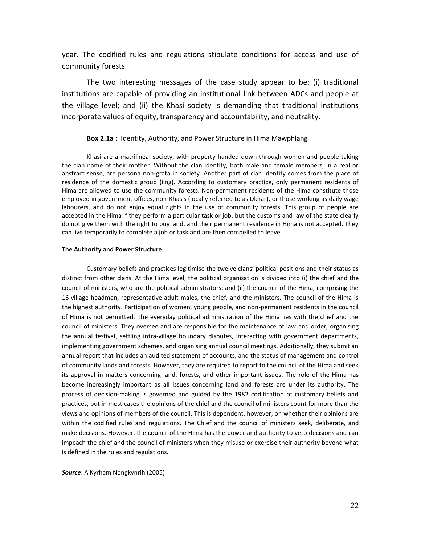year. The codified rules and regulations stipulate conditions for access and use of community forests.

The two interesting messages of the case study appear to be: (i) traditional institutions are capable of providing an institutional link between ADCs and people at the village level; and (ii) the Khasi society is demanding that traditional institutions incorporate values of equity, transparency and accountability, and neutrality.

### **Box 2.1a :** Identity, Authority, and Power Structure in Hima Mawphlang

Khasi are a matrilineal society, with property handed down through women and people taking the clan name of their mother. Without the clan identity, both male and female members, in a real or abstract sense, are persona non-grata in society. Another part of clan identity comes from the place of residence of the domestic group (iing). According to customary practice, only permanent residents of Hima are allowed to use the community forests. Non-permanent residents of the Hima constitute those employed in government offices, non-Khasis (locally referred to as Dkhar), or those working as daily wage labourers, and do not enjoy equal rights in the use of community forests. This group of people are accepted in the Hima if they perform a particular task or job, but the customs and law of the state clearly do not give them with the right to buy land, and their permanent residence in Hima is not accepted. They can live temporarily to complete a job or task and are then compelled to leave.

#### **The Authority and Power Structure**

Customary beliefs and practices legitimise the twelve clans' political positions and their status as distinct from other clans. At the Hima level, the political organisation is divided into (i) the chief and the council of ministers, who are the political administrators; and (ii) the council of the Hima, comprising the 16 village headmen, representative adult males, the chief, and the ministers. The council of the Hima is the highest authority. Participation of women, young people, and non-permanent residents in the council of Hima is not permitted. The everyday political administration of the Hima lies with the chief and the council of ministers. They oversee and are responsible for the maintenance of law and order, organising the annual festival, settling intra-village boundary disputes, interacting with government departments, implementing government schemes, and organising annual council meetings. Additionally, they submit an annual report that includes an audited statement of accounts, and the status of management and control of community lands and forests. However, they are required to report to the council of the Hima and seek its approval in matters concerning land, forests, and other important issues. The role of the Hima has become increasingly important as all issues concerning land and forests are under its authority. The process of decision-making is governed and guided by the 1982 codification of customary beliefs and practices, but in most cases the opinions of the chief and the council of ministers count for more than the views and opinions of members of the council. This is dependent, however, on whether their opinions are within the codified rules and regulations. The Chief and the council of ministers seek, deliberate, and make decisions. However, the council of the Hima has the power and authority to veto decisions and can impeach the chief and the council of ministers when they misuse or exercise their authority beyond what is defined in the rules and regulations.

*Source*: A Kyrham Nongkynrih (2005)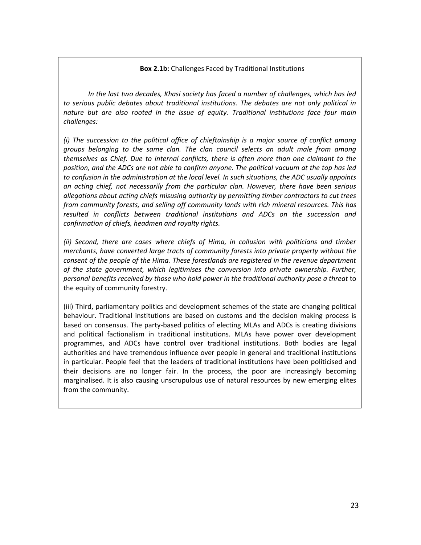# **Box 2.1b:** Challenges Faced by Traditional Institutions

*In the last two decades, Khasi society has faced a number of challenges, which has led to serious public debates about traditional institutions. The debates are not only political in nature but are also rooted in the issue of equity. Traditional institutions face four main challenges:* 

*(i) The succession to the political office of chieftainship is a major source of conflict among groups belonging to the same clan. The clan council selects an adult male from among themselves as Chief. Due to internal conflicts, there is often more than one claimant to the position, and the ADCs are not able to confirm anyone. The political vacuum at the top has led to confusion in the administration at the local level. In such situations, the ADC usually appoints an acting chief, not necessarily from the particular clan. However, there have been serious allegations about acting chiefs misusing authority by permitting timber contractors to cut trees from community forests, and selling off community lands with rich mineral resources. This has resulted in conflicts between traditional institutions and ADCs on the succession and confirmation of chiefs, headmen and royalty rights.* 

*(ii) Second, there are cases where chiefs of Hima, in collusion with politicians and timber merchants, have converted large tracts of community forests into private property without the consent of the people of the Hima. These forestlands are registered in the revenue department of the state government, which legitimises the conversion into private ownership. Further, personal benefits received by those who hold power in the traditional authority pose a threat* to the equity of community forestry.

behaviour. Traditional institutions are based on customs and the decision making process is (iii) Third, parliamentary politics and development schemes of the state are changing political based on consensus. The party-based politics of electing MLAs and ADCs is creating divisions and political factionalism in traditional institutions. MLAs have power over development programmes, and ADCs have control over traditional institutions. Both bodies are legal authorities and have tremendous influence over people in general and traditional institutions in particular. People feel that the leaders of traditional institutions have been politicised and their decisions are no longer fair. In the process, the poor are increasingly becoming marginalised. It is also causing unscrupulous use of natural resources by new emerging elites from the community.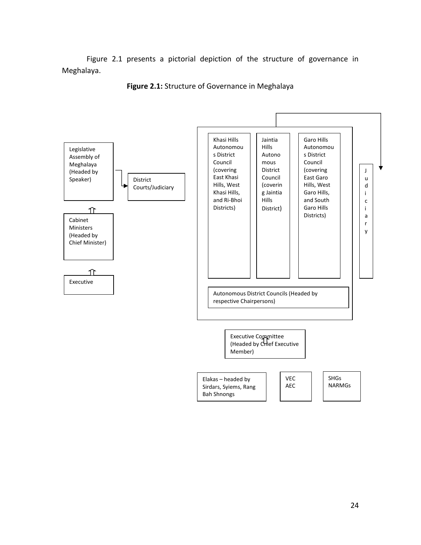Figure 2.1 presents a pictorial depiction of the structure of governance in Meghalaya.



**Figure 2.1:** Structure of Governance in Meghalaya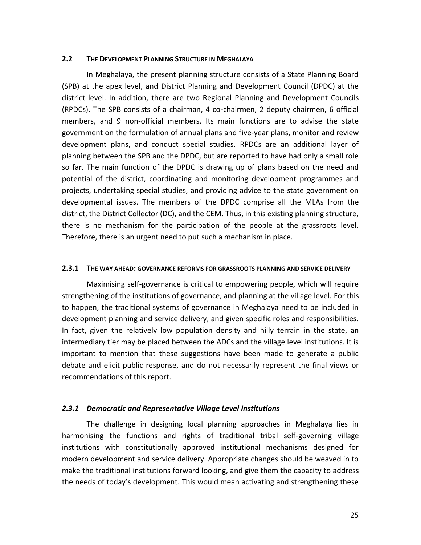## **2.2 THE DEVELOPMENT PLANNING STRUCTURE IN MEGHALAYA**

In Meghalaya, the present planning structure consists of a State Planning Board (SPB) at the apex level, and District Planning and Development Council (DPDC) at the district level. In addition, there are two Regional Planning and Development Councils (RPDCs). The SPB consists of a chairman, 4 co-chairmen, 2 deputy chairmen, 6 official members, and 9 non-official members. Its main functions are to advise the state government on the formulation of annual plans and five-year plans, monitor and review development plans, and conduct special studies. RPDCs are an additional layer of planning between the SPB and the DPDC, but are reported to have had only a small role so far. The main function of the DPDC is drawing up of plans based on the need and potential of the district, coordinating and monitoring development programmes and projects, undertaking special studies, and providing advice to the state government on developmental issues. The members of the DPDC comprise all the MLAs from the district, the District Collector (DC), and the CEM. Thus, in this existing planning structure, there is no mechanism for the participation of the people at the grassroots level. Therefore, there is an urgent need to put such a mechanism in place.

#### **2.3.1 THE WAY AHEAD: GOVERNANCE REFORMS FOR GRASSROOTS PLANNING AND SERVICE DELIVERY**

Maximising self-governance is critical to empowering people, which will require strengthening of the institutions of governance, and planning at the village level. For this to happen, the traditional systems of governance in Meghalaya need to be included in development planning and service delivery, and given specific roles and responsibilities. In fact, given the relatively low population density and hilly terrain in the state, an intermediary tier may be placed between the ADCs and the village level institutions. It is important to mention that these suggestions have been made to generate a public debate and elicit public response, and do not necessarily represent the final views or recommendations of this report.

# *2.3.1 Democratic and Representative Village Level Institutions*

The challenge in designing local planning approaches in Meghalaya lies in harmonising the functions and rights of traditional tribal self-governing village institutions with constitutionally approved institutional mechanisms designed for modern development and service delivery. Appropriate changes should be weaved in to make the traditional institutions forward looking, and give them the capacity to address the needs of today's development. This would mean activating and strengthening these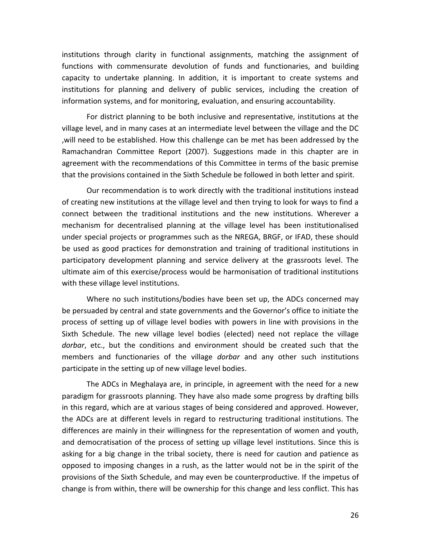institutions through clarity in functional assignments, matching the assignment of functions with commensurate devolution of funds and functionaries, and building capacity to undertake planning. In addition, it is important to create systems and institutions for planning and delivery of public services, including the creation of information systems, and for monitoring, evaluation, and ensuring accountability.

For district planning to be both inclusive and representative, institutions at the village level, and in many cases at an intermediate level between the village and the DC ,will need to be established. How this challenge can be met has been addressed by the Ramachandran Committee Report (2007). Suggestions made in this chapter are in agreement with the recommendations of this Committee in terms of the basic premise that the provisions contained in the Sixth Schedule be followed in both letter and spirit.

Our recommendation is to work directly with the traditional institutions instead of creating new institutions at the village level and then trying to look for ways to find a connect between the traditional institutions and the new institutions. Wherever a mechanism for decentralised planning at the village level has been institutionalised under special projects or programmes such as the NREGA, BRGF, or IFAD, these should be used as good practices for demonstration and training of traditional institutions in participatory development planning and service delivery at the grassroots level. The ultimate aim of this exercise/process would be harmonisation of traditional institutions with these village level institutions.

Where no such institutions/bodies have been set up, the ADCs concerned may be persuaded by central and state governments and the Governor's office to initiate the process of setting up of village level bodies with powers in line with provisions in the Sixth Schedule. The new village level bodies (elected) need not replace the village *dorbar*, etc., but the conditions and environment should be created such that the members and functionaries of the village *dorbar* and any other such institutions participate in the setting up of new village level bodies.

The ADCs in Meghalaya are, in principle, in agreement with the need for a new paradigm for grassroots planning. They have also made some progress by drafting bills in this regard, which are at various stages of being considered and approved. However, the ADCs are at different levels in regard to restructuring traditional institutions. The differences are mainly in their willingness for the representation of women and youth, and democratisation of the process of setting up village level institutions. Since this is asking for a big change in the tribal society, there is need for caution and patience as opposed to imposing changes in a rush, as the latter would not be in the spirit of the provisions of the Sixth Schedule, and may even be counterproductive. If the impetus of change is from within, there will be ownership for this change and less conflict. This has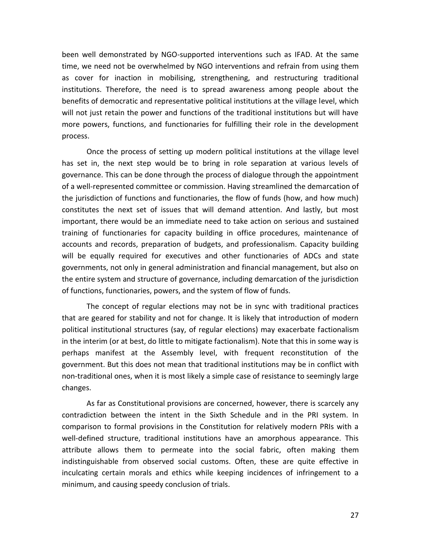been well demonstrated by NGO-supported interventions such as IFAD. At the same time, we need not be overwhelmed by NGO interventions and refrain from using them as cover for inaction in mobilising, strengthening, and restructuring traditional institutions. Therefore, the need is to spread awareness among people about the benefits of democratic and representative political institutions at the village level, which will not just retain the power and functions of the traditional institutions but will have more powers, functions, and functionaries for fulfilling their role in the development process.

Once the process of setting up modern political institutions at the village level has set in, the next step would be to bring in role separation at various levels of governance. This can be done through the process of dialogue through the appointment of a well-represented committee or commission. Having streamlined the demarcation of the jurisdiction of functions and functionaries, the flow of funds (how, and how much) constitutes the next set of issues that will demand attention. And lastly, but most important, there would be an immediate need to take action on serious and sustained training of functionaries for capacity building in office procedures, maintenance of accounts and records, preparation of budgets, and professionalism. Capacity building will be equally required for executives and other functionaries of ADCs and state governments, not only in general administration and financial management, but also on the entire system and structure of governance, including demarcation of the jurisdiction of functions, functionaries, powers, and the system of flow of funds.

The concept of regular elections may not be in sync with traditional practices that are geared for stability and not for change. It is likely that introduction of modern political institutional structures (say, of regular elections) may exacerbate factionalism in the interim (or at best, do little to mitigate factionalism). Note that this in some way is perhaps manifest at the Assembly level, with frequent reconstitution of the government. But this does not mean that traditional institutions may be in conflict with non-traditional ones, when it is most likely a simple case of resistance to seemingly large changes.

As far as Constitutional provisions are concerned, however, there is scarcely any contradiction between the intent in the Sixth Schedule and in the PRI system. In comparison to formal provisions in the Constitution for relatively modern PRIs with a well-defined structure, traditional institutions have an amorphous appearance. This attribute allows them to permeate into the social fabric, often making them indistinguishable from observed social customs. Often, these are quite effective in inculcating certain morals and ethics while keeping incidences of infringement to a minimum, and causing speedy conclusion of trials.